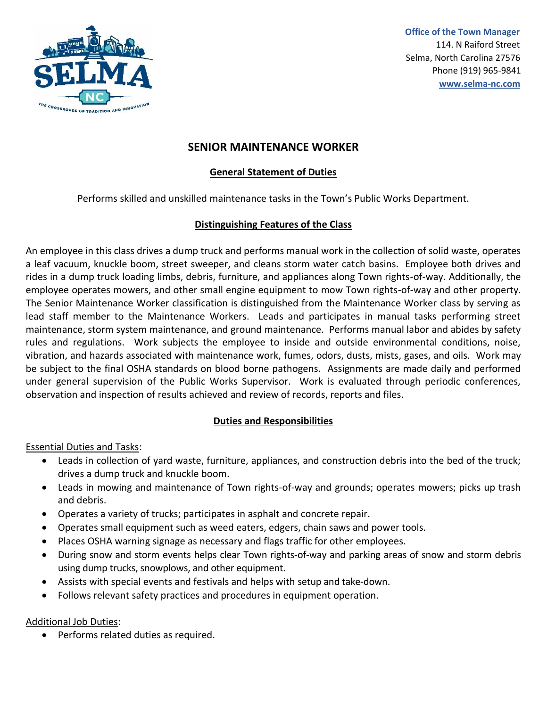

 **Office of the Town Manager**  114. N Raiford Street Selma, North Carolina 27576 Phone (919) 965-9841  **[www.selma-nc.com](http://www.selma-nc.com/)**

# **SENIOR MAINTENANCE WORKER**

### **General Statement of Duties**

Performs skilled and unskilled maintenance tasks in the Town's Public Works Department.

### **Distinguishing Features of the Class**

An employee in this class drives a dump truck and performs manual work in the collection of solid waste, operates a leaf vacuum, knuckle boom, street sweeper, and cleans storm water catch basins. Employee both drives and rides in a dump truck loading limbs, debris, furniture, and appliances along Town rights-of-way. Additionally, the employee operates mowers, and other small engine equipment to mow Town rights-of-way and other property. The Senior Maintenance Worker classification is distinguished from the Maintenance Worker class by serving as lead staff member to the Maintenance Workers. Leads and participates in manual tasks performing street maintenance, storm system maintenance, and ground maintenance. Performs manual labor and abides by safety rules and regulations. Work subjects the employee to inside and outside environmental conditions, noise, vibration, and hazards associated with maintenance work, fumes, odors, dusts, mists, gases, and oils. Work may be subject to the final OSHA standards on blood borne pathogens. Assignments are made daily and performed under general supervision of the Public Works Supervisor. Work is evaluated through periodic conferences, observation and inspection of results achieved and review of records, reports and files.

### **Duties and Responsibilities**

Essential Duties and Tasks:

- Leads in collection of yard waste, furniture, appliances, and construction debris into the bed of the truck; drives a dump truck and knuckle boom.
- Leads in mowing and maintenance of Town rights-of-way and grounds; operates mowers; picks up trash and debris.
- Operates a variety of trucks; participates in asphalt and concrete repair.
- Operates small equipment such as weed eaters, edgers, chain saws and power tools.
- Places OSHA warning signage as necessary and flags traffic for other employees.
- During snow and storm events helps clear Town rights-of-way and parking areas of snow and storm debris using dump trucks, snowplows, and other equipment.
- Assists with special events and festivals and helps with setup and take-down.
- Follows relevant safety practices and procedures in equipment operation.

### Additional Job Duties:

• Performs related duties as required.